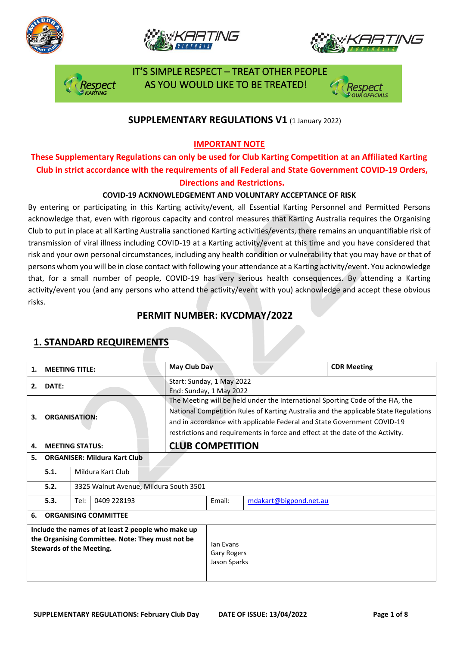







 IT'S SIMPLE RESPECT – TREAT OTHER PEOPLE AS YOU WOULD LIKE TO BE TREATED!

### **SUPPLEMENTARY REGULATIONS V1** (1 January 2022)

### **IMPORTANT NOTE**

### **These Supplementary Regulations can only be used for Club Karting Competition at an Affiliated Karting Club in strict accordance with the requirements of all Federal and State Government COVID-19 Orders, Directions and Restrictions.**

### **COVID-19 ACKNOWLEDGEMENT AND VOLUNTARY ACCEPTANCE OF RISK**

By entering or participating in this Karting activity/event, all Essential Karting Personnel and Permitted Persons acknowledge that, even with rigorous capacity and control measures that Karting Australia requires the Organising Club to put in place at all Karting Australia sanctioned Karting activities/events, there remains an unquantifiable risk of transmission of viral illness including COVID-19 at a Karting activity/event at this time and you have considered that risk and your own personal circumstances, including any health condition or vulnerability that you may have or that of persons whom you will be in close contact with following your attendance at a Karting activity/event. You acknowledge that, for a small number of people, COVID-19 has very serious health consequences. By attending a Karting activity/event you (and any persons who attend the activity/event with you) acknowledge and accept these obvious risks.

### **PERMIT NUMBER: KVCDMAY/2022**

| 1.                                                                                                                                        | <b>MEETING TITLE:</b>                          |  |  | May Club Day                                                                                                                                                                                                                                                                                                                        |                                                      |  | <b>CDR Meeting</b> |  |
|-------------------------------------------------------------------------------------------------------------------------------------------|------------------------------------------------|--|--|-------------------------------------------------------------------------------------------------------------------------------------------------------------------------------------------------------------------------------------------------------------------------------------------------------------------------------------|------------------------------------------------------|--|--------------------|--|
| 2.                                                                                                                                        | DATE:                                          |  |  |                                                                                                                                                                                                                                                                                                                                     | Start: Sunday, 1 May 2022<br>End: Sunday, 1 May 2022 |  |                    |  |
| 3.                                                                                                                                        | <b>ORGANISATION:</b>                           |  |  | The Meeting will be held under the International Sporting Code of the FIA, the<br>National Competition Rules of Karting Australia and the applicable State Regulations<br>and in accordance with applicable Federal and State Government COVID-19<br>restrictions and requirements in force and effect at the date of the Activity. |                                                      |  |                    |  |
| 4.                                                                                                                                        | <b>MEETING STATUS:</b>                         |  |  | <b>CLUB COMPETITION</b>                                                                                                                                                                                                                                                                                                             |                                                      |  |                    |  |
| 5.                                                                                                                                        | <b>ORGANISER: Mildura Kart Club</b>            |  |  |                                                                                                                                                                                                                                                                                                                                     |                                                      |  |                    |  |
|                                                                                                                                           | Mildura Kart Club<br>5.1.                      |  |  |                                                                                                                                                                                                                                                                                                                                     |                                                      |  |                    |  |
|                                                                                                                                           | 5.2.<br>3325 Walnut Avenue, Mildura South 3501 |  |  |                                                                                                                                                                                                                                                                                                                                     |                                                      |  |                    |  |
|                                                                                                                                           | 0409 228193<br>5.3.<br>Tel:                    |  |  | Email:                                                                                                                                                                                                                                                                                                                              | mdakart@bigpond.net.au                               |  |                    |  |
| 6.                                                                                                                                        | <b>ORGANISING COMMITTEE</b>                    |  |  |                                                                                                                                                                                                                                                                                                                                     |                                                      |  |                    |  |
| Include the names of at least 2 people who make up<br>the Organising Committee. Note: They must not be<br><b>Stewards of the Meeting.</b> |                                                |  |  |                                                                                                                                                                                                                                                                                                                                     | lan Evans<br>Gary Rogers<br>Jason Sparks             |  |                    |  |

### **1. STANDARD REQUIREMENTS**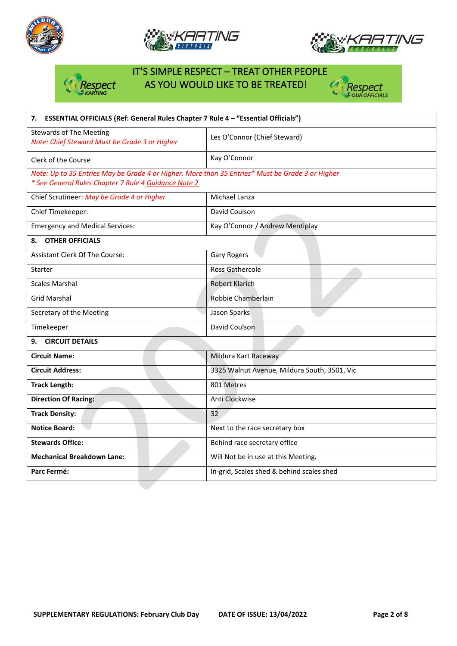







# IT'S SIMPLE RESPECT – TREAT OTHER PEOPLE AS YOU WOULD LIKE TO BE TREATED!



**Mechanical Breakdown Lane:** Will Not be in use at this Meeting.

**Parc Fermé: In-grid, Scales shed & behind scales shed**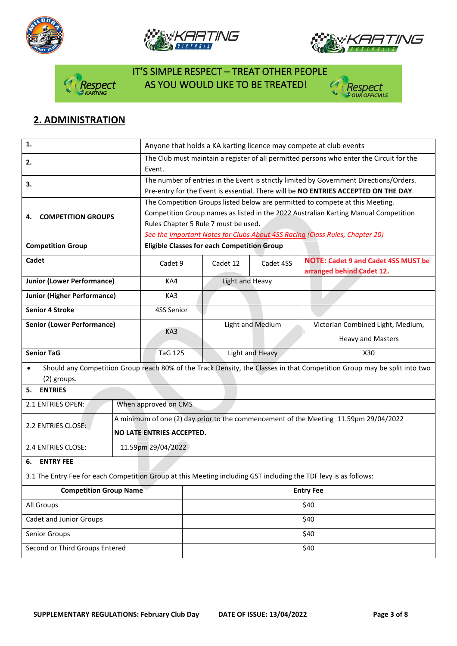







# IT'S SIMPLE RESPECT – TREAT OTHER PEOPLE spect AS YOU WOULD LIKE TO BE TREATED!



## **2. ADMINISTRATION**

| 1.                                                                                                               |                      | Anyone that holds a KA karting licence may compete at club events                        |                  |                                                                                                                          |  |  |  |
|------------------------------------------------------------------------------------------------------------------|----------------------|------------------------------------------------------------------------------------------|------------------|--------------------------------------------------------------------------------------------------------------------------|--|--|--|
| 2.                                                                                                               | Event.               | The Club must maintain a register of all permitted persons who enter the Circuit for the |                  |                                                                                                                          |  |  |  |
| 3.                                                                                                               |                      |                                                                                          |                  | The number of entries in the Event is strictly limited by Government Directions/Orders.                                  |  |  |  |
|                                                                                                                  |                      |                                                                                          |                  | Pre-entry for the Event is essential. There will be NO ENTRIES ACCEPTED ON THE DAY.                                      |  |  |  |
|                                                                                                                  |                      |                                                                                          |                  | The Competition Groups listed below are permitted to compete at this Meeting.                                            |  |  |  |
| <b>COMPETITION GROUPS</b><br>4.                                                                                  |                      | Competition Group names as listed in the 2022 Australian Karting Manual Competition      |                  |                                                                                                                          |  |  |  |
|                                                                                                                  |                      | Rules Chapter 5 Rule 7 must be used.                                                     |                  |                                                                                                                          |  |  |  |
|                                                                                                                  |                      | See the Important Notes for Clubs About 4SS Racing (Class Rules, Chapter 20)             |                  |                                                                                                                          |  |  |  |
| <b>Competition Group</b>                                                                                         |                      | <b>Eligible Classes for each Competition Group</b>                                       |                  |                                                                                                                          |  |  |  |
| Cadet                                                                                                            | Cadet 9              | Cadet 12                                                                                 | Cadet 4SS        | <b>NOTE: Cadet 9 and Cadet 4SS MUST be</b><br>arranged behind Cadet 12.                                                  |  |  |  |
| <b>Junior (Lower Performance)</b>                                                                                | KA4                  | Light and Heavy                                                                          |                  |                                                                                                                          |  |  |  |
| <b>Junior (Higher Performance)</b>                                                                               | KA3                  |                                                                                          |                  |                                                                                                                          |  |  |  |
| <b>Senior 4 Stroke</b>                                                                                           | 4SS Senior           |                                                                                          |                  |                                                                                                                          |  |  |  |
| <b>Senior (Lower Performance)</b>                                                                                |                      |                                                                                          | Light and Medium | Victorian Combined Light, Medium,                                                                                        |  |  |  |
|                                                                                                                  | KA3                  |                                                                                          |                  | <b>Heavy and Masters</b>                                                                                                 |  |  |  |
| <b>Senior TaG</b>                                                                                                | <b>TaG 125</b>       |                                                                                          | Light and Heavy  | X30                                                                                                                      |  |  |  |
| $\bullet$                                                                                                        |                      |                                                                                          |                  | Should any Competition Group reach 80% of the Track Density, the Classes in that Competition Group may be split into two |  |  |  |
| (2) groups.                                                                                                      |                      |                                                                                          |                  |                                                                                                                          |  |  |  |
| <b>ENTRIES</b><br>5.                                                                                             |                      |                                                                                          |                  |                                                                                                                          |  |  |  |
| 2.1 ENTRIES OPEN:                                                                                                | When approved on CMS |                                                                                          |                  |                                                                                                                          |  |  |  |
|                                                                                                                  |                      | A minimum of one (2) day prior to the commencement of the Meeting 11.59pm 29/04/2022     |                  |                                                                                                                          |  |  |  |
| 2.2 ENTRIES CLOSE:                                                                                               |                      | NO LATE ENTRIES ACCEPTED.                                                                |                  |                                                                                                                          |  |  |  |
| 2.4 ENTRIES CLOSE:                                                                                               | 11.59pm 29/04/2022   |                                                                                          |                  |                                                                                                                          |  |  |  |
| <b>ENTRY FEE</b><br>6.                                                                                           |                      |                                                                                          |                  |                                                                                                                          |  |  |  |
| 3.1 The Entry Fee for each Competition Group at this Meeting including GST including the TDF levy is as follows: |                      |                                                                                          |                  |                                                                                                                          |  |  |  |
| <b>Competition Group Name</b>                                                                                    |                      | <b>Entry Fee</b>                                                                         |                  |                                                                                                                          |  |  |  |
| All Groups                                                                                                       |                      | \$40                                                                                     |                  |                                                                                                                          |  |  |  |
| <b>Cadet and Junior Groups</b>                                                                                   |                      | \$40                                                                                     |                  |                                                                                                                          |  |  |  |
| Senior Groups                                                                                                    |                      | \$40                                                                                     |                  |                                                                                                                          |  |  |  |
| Second or Third Groups Entered                                                                                   |                      | \$40                                                                                     |                  |                                                                                                                          |  |  |  |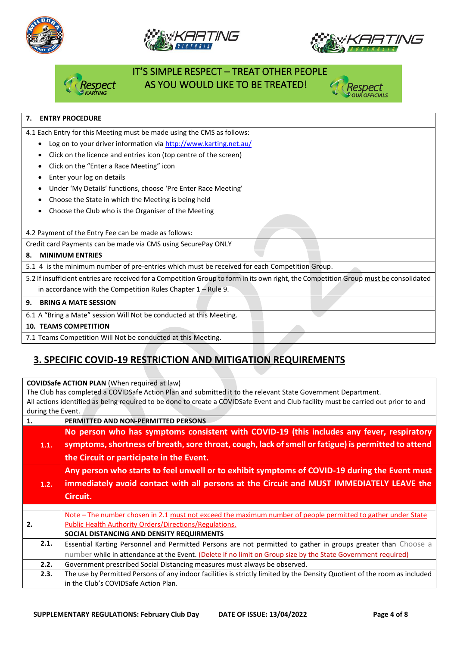







# IT'S SIMPLE RESPECT – TREAT OTHER PEOPLE AS YOU WOULD LIKE TO BE TREATED!



### **7. ENTRY PROCEDURE**

4.1 Each Entry for this Meeting must be made using the CMS as follows:

- Log on to your driver information vi[a http://www.karting.net.au/](http://www.karting.net.au/)
- Click on the licence and entries icon (top centre of the screen)
- Click on the "Enter a Race Meeting" icon
- Enter your log on details
- Under 'My Details' functions, choose 'Pre Enter Race Meeting'
- Choose the State in which the Meeting is being held
- Choose the Club who is the Organiser of the Meeting

4.2 Payment of the Entry Fee can be made as follows:

Credit card Payments can be made via CMS using SecurePay ONLY

#### **8. MINIMUM ENTRIES**

5.1 4 is the minimum number of pre-entries which must be received for each Competition Group.

5.2 If insufficient entries are received for a Competition Group to form in its own right, the Competition Group must be consolidated in accordance with the Competition Rules Chapter 1 – Rule 9.

#### **9. BRING A MATE SESSION**

6.1 A "Bring a Mate" session Will Not be conducted at this Meeting.

#### **10. TEAMS COMPETITION**

7.1 Teams Competition Will Not be conducted at this Meeting.

### **3. SPECIFIC COVID-19 RESTRICTION AND MITIGATION REQUIREMENTS**

| <b>COVIDSafe ACTION PLAN</b> (When required at law) |                                                                                                                                    |  |  |  |  |
|-----------------------------------------------------|------------------------------------------------------------------------------------------------------------------------------------|--|--|--|--|
|                                                     | The Club has completed a COVIDSafe Action Plan and submitted it to the relevant State Government Department.                       |  |  |  |  |
|                                                     | All actions identified as being required to be done to create a COVIDSafe Event and Club facility must be carried out prior to and |  |  |  |  |
| during the Event.                                   |                                                                                                                                    |  |  |  |  |
| 1.                                                  | PERMITTED AND NON-PERMITTED PERSONS                                                                                                |  |  |  |  |
|                                                     | No person who has symptoms consistent with COVID-19 (this includes any fever, respiratory                                          |  |  |  |  |
| 1.1.                                                | symptoms, shortness of breath, sore throat, cough, lack of smell or fatigue) is permitted to attend                                |  |  |  |  |
|                                                     | the Circuit or participate in the Event.                                                                                           |  |  |  |  |
|                                                     | Any person who starts to feel unwell or to exhibit symptoms of COVID-19 during the Event must                                      |  |  |  |  |
| 1.2.                                                | immediately avoid contact with all persons at the Circuit and MUST IMMEDIATELY LEAVE the                                           |  |  |  |  |
|                                                     | Circuit.                                                                                                                           |  |  |  |  |
|                                                     |                                                                                                                                    |  |  |  |  |
|                                                     | Note – The number chosen in 2.1 must not exceed the maximum number of people permitted to gather under State                       |  |  |  |  |
| 2.                                                  | <b>Public Health Authority Orders/Directions/Regulations.</b>                                                                      |  |  |  |  |
|                                                     | SOCIAL DISTANCING AND DENSITY REQUIRMENTS                                                                                          |  |  |  |  |
| 2.1.                                                | Essential Karting Personnel and Permitted Persons are not permitted to gather in groups greater than Choose a                      |  |  |  |  |
|                                                     | number while in attendance at the Event. (Delete if no limit on Group size by the State Government required)                       |  |  |  |  |
| 2.2.                                                | Government prescribed Social Distancing measures must always be observed.                                                          |  |  |  |  |
| 2.3.                                                | The use by Permitted Persons of any indoor facilities is strictly limited by the Density Quotient of the room as included          |  |  |  |  |
|                                                     | in the Club's COVIDSafe Action Plan.                                                                                               |  |  |  |  |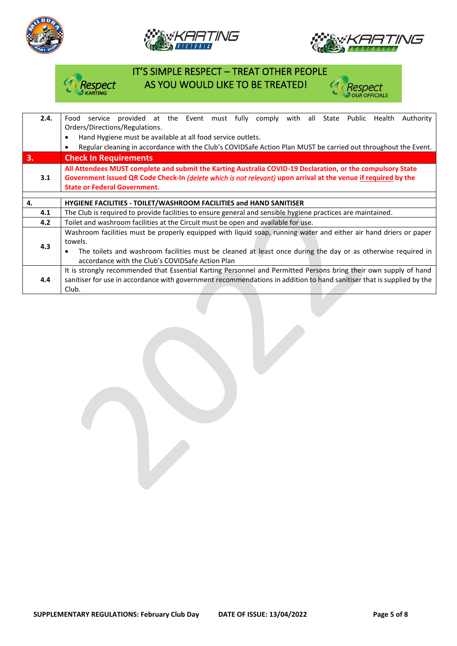





**Respect**<br>• our officials

#### IT'S SIMPLE RESPECT – TREAT OTHER PEOPLE espect AS YOU WOULD LIKE TO BE TREATED! f.

| 2.4. | provided at the Event must fully comply<br>with all State Public Health<br>Authority<br>Food<br>service                                                                                                                      |  |  |  |  |  |  |
|------|------------------------------------------------------------------------------------------------------------------------------------------------------------------------------------------------------------------------------|--|--|--|--|--|--|
|      | Orders/Directions/Regulations.                                                                                                                                                                                               |  |  |  |  |  |  |
|      | Hand Hygiene must be available at all food service outlets.<br>$\bullet$                                                                                                                                                     |  |  |  |  |  |  |
|      | Regular cleaning in accordance with the Club's COVIDSafe Action Plan MUST be carried out throughout the Event.<br>$\bullet$                                                                                                  |  |  |  |  |  |  |
| 3.   | <b>Check In Requirements</b>                                                                                                                                                                                                 |  |  |  |  |  |  |
|      | All Attendees MUST complete and submit the Karting Australia COVID-19 Declaration, or the compulsory State<br>Government issued QR Code Check-In (delete which is not relevant) upon arrival at the venue if required by the |  |  |  |  |  |  |
| 3.1  |                                                                                                                                                                                                                              |  |  |  |  |  |  |
|      | <b>State or Federal Government.</b>                                                                                                                                                                                          |  |  |  |  |  |  |
|      |                                                                                                                                                                                                                              |  |  |  |  |  |  |
| 4.   | <b>HYGIENE FACILITIES - TOILET/WASHROOM FACILITIES and HAND SANITISER</b>                                                                                                                                                    |  |  |  |  |  |  |
| 4.1  | The Club is required to provide facilities to ensure general and sensible hygiene practices are maintained.                                                                                                                  |  |  |  |  |  |  |
| 4.2  | Toilet and washroom facilities at the Circuit must be open and available for use.                                                                                                                                            |  |  |  |  |  |  |
|      | Washroom facilities must be properly equipped with liquid soap, running water and either air hand driers or paper                                                                                                            |  |  |  |  |  |  |
|      | towels.                                                                                                                                                                                                                      |  |  |  |  |  |  |
| 4.3  | The toilets and washroom facilities must be cleaned at least once during the day or as otherwise required in<br>$\bullet$                                                                                                    |  |  |  |  |  |  |
|      | accordance with the Club's COVIDSafe Action Plan                                                                                                                                                                             |  |  |  |  |  |  |
|      | It is strongly recommended that Essential Karting Personnel and Permitted Persons bring their own supply of hand                                                                                                             |  |  |  |  |  |  |
| 4.4  | sanitiser for use in accordance with government recommendations in addition to hand sanitiser that is supplied by the                                                                                                        |  |  |  |  |  |  |
|      | Club.                                                                                                                                                                                                                        |  |  |  |  |  |  |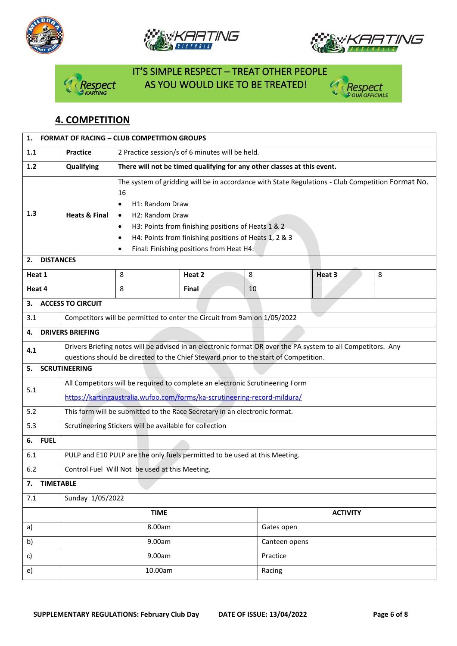







# IT'S SIMPLE RESPECT – TREAT OTHER PEOPLE espect AS YOU WOULD LIKE TO BE TREATED!



### **4. COMPETITION**

| 1.                     |                                                                                                                                                                                                      | <b>FORMAT OF RACING - CLUB COMPETITION GROUPS</b>                                                                                                                                                                                                                                                                                                    |        |    |               |        |   |
|------------------------|------------------------------------------------------------------------------------------------------------------------------------------------------------------------------------------------------|------------------------------------------------------------------------------------------------------------------------------------------------------------------------------------------------------------------------------------------------------------------------------------------------------------------------------------------------------|--------|----|---------------|--------|---|
| 1.1                    | <b>Practice</b>                                                                                                                                                                                      | 2 Practice session/s of 6 minutes will be held.                                                                                                                                                                                                                                                                                                      |        |    |               |        |   |
| 1.2                    | Qualifying                                                                                                                                                                                           | There will not be timed qualifying for any other classes at this event.                                                                                                                                                                                                                                                                              |        |    |               |        |   |
| 1.3                    | <b>Heats &amp; Final</b>                                                                                                                                                                             | The system of gridding will be in accordance with State Regulations - Club Competition Format No.<br>16<br>H1: Random Draw<br>٠<br>H2: Random Draw<br>$\bullet$<br>H3: Points from finishing positions of Heats 1 & 2<br>$\bullet$<br>H4: Points from finishing positions of Heats 1, 2 & 3<br>$\bullet$<br>Final: Finishing positions from Heat H4: |        |    |               |        |   |
| <b>DISTANCES</b><br>2. |                                                                                                                                                                                                      |                                                                                                                                                                                                                                                                                                                                                      |        |    |               |        |   |
| Heat 1                 |                                                                                                                                                                                                      | 8                                                                                                                                                                                                                                                                                                                                                    | Heat 2 | 8  |               | Heat 3 | 8 |
| Heat 4                 |                                                                                                                                                                                                      | 8                                                                                                                                                                                                                                                                                                                                                    | Final  | 10 |               |        |   |
| 3.                     | <b>ACCESS TO CIRCUIT</b>                                                                                                                                                                             |                                                                                                                                                                                                                                                                                                                                                      |        |    |               |        |   |
| 3.1                    |                                                                                                                                                                                                      | Competitors will be permitted to enter the Circuit from 9am on 1/05/2022                                                                                                                                                                                                                                                                             |        |    |               |        |   |
| 4.                     | <b>DRIVERS BRIEFING</b>                                                                                                                                                                              |                                                                                                                                                                                                                                                                                                                                                      |        |    |               |        |   |
| 4.1                    | Drivers Briefing notes will be advised in an electronic format OR over the PA system to all Competitors. Any<br>questions should be directed to the Chief Steward prior to the start of Competition. |                                                                                                                                                                                                                                                                                                                                                      |        |    |               |        |   |
| 5.                     | <b>SCRUTINEERING</b>                                                                                                                                                                                 |                                                                                                                                                                                                                                                                                                                                                      |        |    |               |        |   |
| 5.1                    | All Competitors will be required to complete an electronic Scrutineering Form<br>https://kartingaustralia.wufoo.com/forms/ka-scrutineering-record-mildura/                                           |                                                                                                                                                                                                                                                                                                                                                      |        |    |               |        |   |
| 5.2                    | This form will be submitted to the Race Secretary in an electronic format.                                                                                                                           |                                                                                                                                                                                                                                                                                                                                                      |        |    |               |        |   |
| 5.3                    | Scrutineering Stickers will be available for collection                                                                                                                                              |                                                                                                                                                                                                                                                                                                                                                      |        |    |               |        |   |
| <b>FUEL</b><br>6.      |                                                                                                                                                                                                      |                                                                                                                                                                                                                                                                                                                                                      |        |    |               |        |   |
| 6.1                    | PULP and E10 PULP are the only fuels permitted to be used at this Meeting.                                                                                                                           |                                                                                                                                                                                                                                                                                                                                                      |        |    |               |        |   |
| 6.2                    | Control Fuel Will Not be used at this Meeting.                                                                                                                                                       |                                                                                                                                                                                                                                                                                                                                                      |        |    |               |        |   |
| 7.                     | <b>TIMETABLE</b>                                                                                                                                                                                     |                                                                                                                                                                                                                                                                                                                                                      |        |    |               |        |   |
| 7.1                    | Sunday 1/05/2022                                                                                                                                                                                     |                                                                                                                                                                                                                                                                                                                                                      |        |    |               |        |   |
|                        | <b>TIME</b><br><b>ACTIVITY</b>                                                                                                                                                                       |                                                                                                                                                                                                                                                                                                                                                      |        |    |               |        |   |
| a)                     | 8.00am                                                                                                                                                                                               |                                                                                                                                                                                                                                                                                                                                                      |        |    | Gates open    |        |   |
| b)                     | 9.00am                                                                                                                                                                                               |                                                                                                                                                                                                                                                                                                                                                      |        |    | Canteen opens |        |   |
| c)                     | 9.00am                                                                                                                                                                                               |                                                                                                                                                                                                                                                                                                                                                      |        |    | Practice      |        |   |
| e)                     | 10.00am<br>Racing                                                                                                                                                                                    |                                                                                                                                                                                                                                                                                                                                                      |        |    |               |        |   |
|                        |                                                                                                                                                                                                      |                                                                                                                                                                                                                                                                                                                                                      |        |    |               |        |   |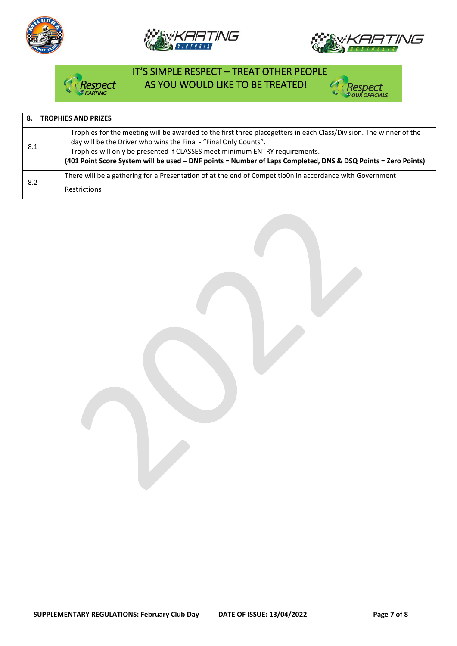







# IT'S SIMPLE RESPECT – TREAT OTHER PEOPLE pect AS YOU WOULD LIKE TO BE TREATED!



| <b>TROPHIES AND PRIZES</b> |                                                                                                                                                                                                                                                                                                                                                                                        |  |  |  |  |
|----------------------------|----------------------------------------------------------------------------------------------------------------------------------------------------------------------------------------------------------------------------------------------------------------------------------------------------------------------------------------------------------------------------------------|--|--|--|--|
| 8.1                        | Trophies for the meeting will be awarded to the first three placegetters in each Class/Division. The winner of the<br>day will be the Driver who wins the Final - "Final Only Counts".<br>Trophies will only be presented if CLASSES meet minimum ENTRY requirements.<br>(401 Point Score System will be used - DNF points = Number of Laps Completed, DNS & DSQ Points = Zero Points) |  |  |  |  |
| 8.2                        | There will be a gathering for a Presentation of at the end of CompetitioOn in accordance with Government<br><b>Restrictions</b>                                                                                                                                                                                                                                                        |  |  |  |  |